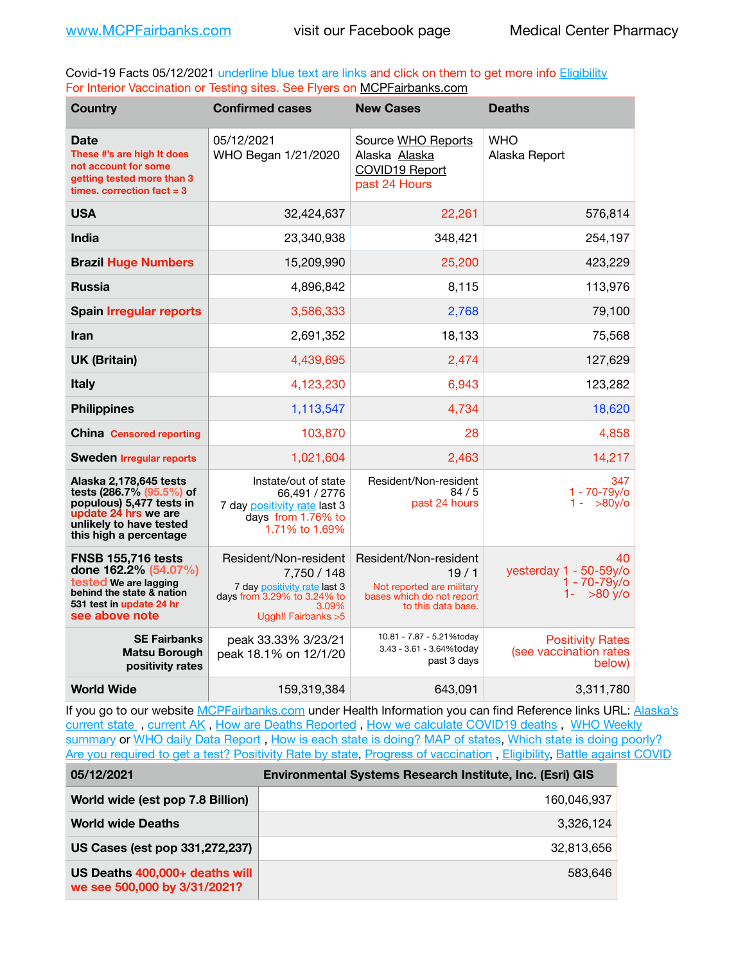Covid-19 Facts 05/12/2021 underline blue text are links and click on them to get more info **Eligibility** For Interior Vaccination or Testing sites. See Flyers on [MCPFairbanks.com](http://www.MCPFairbanks.com)

| <b>Country</b>                                                                                                                                              | <b>Confirmed cases</b>                                                                                                               | <b>New Cases</b>                                                                                              | <b>Deaths</b>                                                 |
|-------------------------------------------------------------------------------------------------------------------------------------------------------------|--------------------------------------------------------------------------------------------------------------------------------------|---------------------------------------------------------------------------------------------------------------|---------------------------------------------------------------|
| <b>Date</b><br>These #'s are high It does<br>not account for some<br>getting tested more than 3<br>times, correction $fact = 3$                             | 05/12/2021<br>WHO Began 1/21/2020                                                                                                    | Source WHO Reports<br>Alaska Alaska<br><b>COVID19 Report</b><br>past 24 Hours                                 | <b>WHO</b><br>Alaska Report                                   |
| <b>USA</b>                                                                                                                                                  | 32,424,637                                                                                                                           | 22,261                                                                                                        | 576,814                                                       |
| India                                                                                                                                                       | 23,340,938                                                                                                                           | 348,421                                                                                                       | 254,197                                                       |
| <b>Brazil Huge Numbers</b>                                                                                                                                  | 15,209,990                                                                                                                           | 25,200                                                                                                        | 423,229                                                       |
| <b>Russia</b>                                                                                                                                               | 4,896,842                                                                                                                            | 8,115                                                                                                         | 113,976                                                       |
| <b>Spain Irregular reports</b>                                                                                                                              | 3,586,333                                                                                                                            | 2,768                                                                                                         | 79,100                                                        |
| <b>Iran</b>                                                                                                                                                 | 2,691,352                                                                                                                            | 18,133                                                                                                        | 75,568                                                        |
| <b>UK (Britain)</b>                                                                                                                                         | 4,439,695                                                                                                                            | 2,474                                                                                                         | 127,629                                                       |
| <b>Italy</b>                                                                                                                                                | 4,123,230                                                                                                                            | 6,943                                                                                                         | 123,282                                                       |
| <b>Philippines</b>                                                                                                                                          | 1,113,547                                                                                                                            | 4,734                                                                                                         | 18,620                                                        |
| <b>China Censored reporting</b>                                                                                                                             | 103,870                                                                                                                              | 28                                                                                                            | 4,858                                                         |
| <b>Sweden Irregular reports</b>                                                                                                                             | 1,021,604                                                                                                                            | 2,463                                                                                                         | 14,217                                                        |
| Alaska 2,178,645 tests<br>tests (286.7% (95.5%) of<br>populous) 5,477 tests in<br>update 24 hrs we are<br>unlikely to have tested<br>this high a percentage | Instate/out of state<br>66,491 / 2776<br>7 day positivity rate last 3<br>days from 1.76% to<br>1.71% to 1.69%                        | Resident/Non-resident<br>84/5<br>past 24 hours                                                                | 347<br>1 - 70-79y/o<br>$1 -$<br>>80y/o                        |
| <b>FNSB 155,716 tests</b><br>done 162.2% (54.07%)<br>tested We are lagging<br>behind the state & nation<br>531 test in update 24 hr<br>see above note       | Resident/Non-resident<br>7,750 / 148<br>7 day positivity rate last 3<br>days from 3.29% to 3.24% to<br>3.09%<br>Uggh!! Fairbanks > 5 | Resident/Non-resident<br>19/1<br>Not reported are military<br>bases which do not report<br>to this data base. | 40<br>yesterday 1 - 50-59y/o<br>$1 - 70 - 79y$ o<br>$>80$ y/o |
| <b>SE Fairbanks</b><br><b>Matsu Borough</b><br>positivity rates                                                                                             | peak 33.33% 3/23/21<br>peak 18.1% on 12/1/20                                                                                         | 10.81 - 7.87 - 5.21%today<br>3.43 - 3.61 - 3.64%today<br>past 3 days                                          | <b>Positivity Rates</b><br>(see vaccination rates<br>below)   |
| <b>World Wide</b>                                                                                                                                           | 159,319,384                                                                                                                          | 643,091                                                                                                       | 3,311,780                                                     |

If you go to our website [MCPFairbanks.com](http://www.MCPFairbanks.com) under Health Information you can find Reference links URL: Alaska's [current state](https://coronavirus-response-alaska-dhss.hub.arcgis.com) , [current AK](http://dhss.alaska.gov/dph/Epi/id/Pages/COVID-19/communications.aspx#cases) , [How are Deaths Reported](http://dhss.alaska.gov/dph/Epi/id/Pages/COVID-19/deathcounts.aspx) , [How we calculate COVID19 deaths](https://coronavirus-response-alaska-dhss.hub.arcgis.com/search?collection=Document&groupIds=41ccb3344ebc4bd682c74073eba21f42) , [WHO Weekly](http://www.who.int)  [summary](http://www.who.int) or [WHO daily Data Report](https://covid19.who.int/table), [How is each state is doing?](https://www.msn.com/en-us/news/us/state-by-state-coronavirus-news/ar-BB13E1PX?fbclid=IwAR0_OBJH7lSyTN3ug_MsOeFnNgB1orTa9OBgilKJ7dhnwlVvHEsptuKkj1c) [MAP of states,](https://www.nationalgeographic.com/science/graphics/graphic-tracking-coronavirus-infections-us?cmpid=org=ngp::mc=crm-email::src=ngp::cmp=editorial::add=SpecialEdition_20210305&rid=B9A6DF5992658E8E35CE023113CFEA4C) [Which state is doing poorly?](https://bestlifeonline.com/covid-outbreak-your-state/?utm_source=nsltr&utm_medium=email&utm_content=covid-outbreak-your-state&utm_campaign=launch) [Are you required to get a test?](http://dhss.alaska.gov/dph/Epi/id/SiteAssets/Pages/HumanCoV/Whattodoafteryourtest.pdf) [Positivity Rate by state](https://coronavirus.jhu.edu/testing/individual-states/alaska), Progress of vaccination, [Eligibility,](http://dhss.alaska.gov/dph/Epi/id/Pages/COVID-19/VaccineAvailability.aspx) [Battle against COVID](https://www.nationalgeographic.com/science/graphics/graphic-tracking-coronavirus-infections-us?cmpid=org=ngp::mc=crm-email::src=ngp::cmp=editorial::add=SpecialEdition_20210219&rid=B9A6DF5992658E8E35CE023113CFEA4C)

| 05/12/2021                                                     | <b>Environmental Systems Research Institute, Inc. (Esri) GIS</b> |  |
|----------------------------------------------------------------|------------------------------------------------------------------|--|
| World wide (est pop 7.8 Billion)                               | 160.046.937                                                      |  |
| <b>World wide Deaths</b>                                       | 3.326.124                                                        |  |
| US Cases (est pop 331,272,237)                                 | 32,813,656                                                       |  |
| US Deaths 400,000+ deaths will<br>we see 500,000 by 3/31/2021? | 583.646                                                          |  |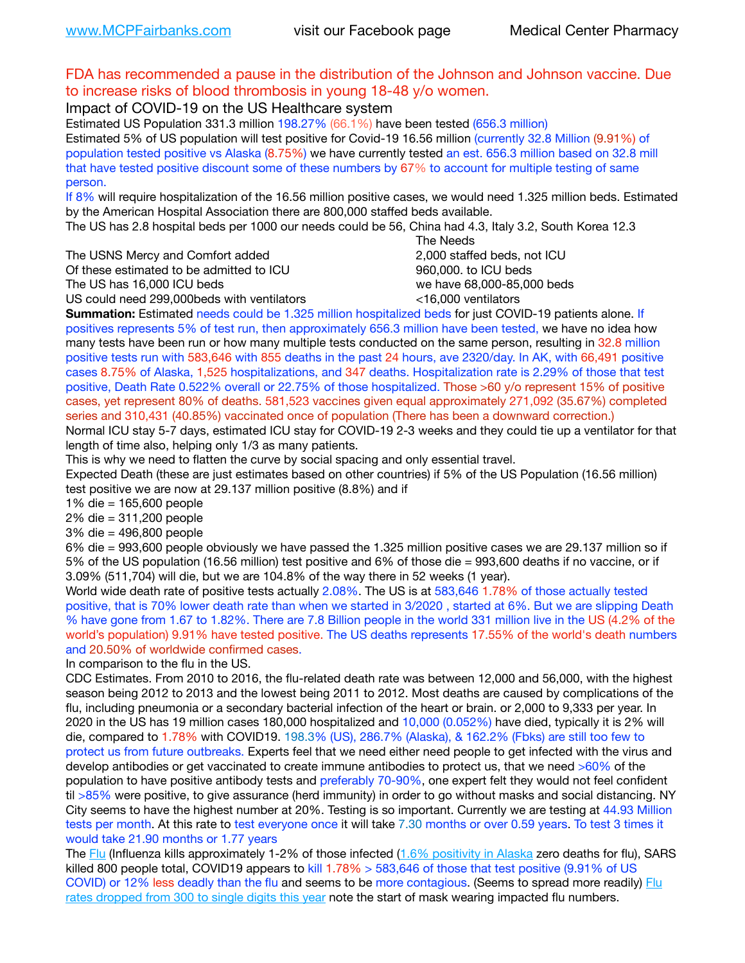## FDA has recommended a pause in the distribution of the Johnson and Johnson vaccine. Due to increase risks of blood thrombosis in young 18-48 y/o women.

Impact of COVID-19 on the US Healthcare system

Estimated US Population 331.3 million 198.27% (66.1%) have been tested (656.3 million) Estimated 5% of US population will test positive for Covid-19 16.56 million (currently 32.8 Million (9.91%) of population tested positive vs Alaska (8.75%) we have currently tested an est. 656.3 million based on 32.8 mill that have tested positive discount some of these numbers by 67% to account for multiple testing of same person.

If 8% will require hospitalization of the 16.56 million positive cases, we would need 1.325 million beds. Estimated by the American Hospital Association there are 800,000 staffed beds available.

The US has 2.8 hospital beds per 1000 our needs could be 56, China had 4.3, Italy 3.2, South Korea 12.3

The USNS Mercy and Comfort added 2,000 staffed beds, not ICU

Of these estimated to be admitted to ICU **860,000**, to ICU beds

 The Needs The US has 16,000 ICU beds we have 68,000-85,000 beds US could need 299,000 beds with ventilators  $\leq$ 16,000 ventilators

**Summation:** Estimated needs could be 1.325 million hospitalized beds for just COVID-19 patients alone. If positives represents 5% of test run, then approximately 656.3 million have been tested, we have no idea how

many tests have been run or how many multiple tests conducted on the same person, resulting in 32.8 million positive tests run with 583,646 with 855 deaths in the past 24 hours, ave 2320/day. In AK, with 66,491 positive cases 8.75% of Alaska, 1,525 hospitalizations, and 347 deaths. Hospitalization rate is 2.29% of those that test positive, Death Rate 0.522% overall or 22.75% of those hospitalized. Those >60 y/o represent 15% of positive cases, yet represent 80% of deaths. 581,523 vaccines given equal approximately 271,092 (35.67%) completed series and 310,431 (40.85%) vaccinated once of population (There has been a downward correction.)

Normal ICU stay 5-7 days, estimated ICU stay for COVID-19 2-3 weeks and they could tie up a ventilator for that length of time also, helping only 1/3 as many patients.

This is why we need to flatten the curve by social spacing and only essential travel.

Expected Death (these are just estimates based on other countries) if 5% of the US Population (16.56 million) test positive we are now at 29.137 million positive (8.8%) and if

1% die = 165,600 people

2% die = 311,200 people

3% die = 496,800 people

6% die = 993,600 people obviously we have passed the 1.325 million positive cases we are 29.137 million so if 5% of the US population (16.56 million) test positive and 6% of those die = 993,600 deaths if no vaccine, or if 3.09% (511,704) will die, but we are 104.8% of the way there in 52 weeks (1 year).

World wide death rate of positive tests actually 2.08%. The US is at 583,646 1.78% of those actually tested positive, that is 70% lower death rate than when we started in 3/2020 , started at 6%. But we are slipping Death % have gone from 1.67 to 1.82%. There are 7.8 Billion people in the world 331 million live in the US (4.2% of the world's population) 9.91% have tested positive. The US deaths represents 17.55% of the world's death numbers and 20.50% of worldwide confirmed cases.

In comparison to the flu in the US.

CDC Estimates. From 2010 to 2016, the flu-related death rate was between 12,000 and 56,000, with the highest season being 2012 to 2013 and the lowest being 2011 to 2012. Most deaths are caused by complications of the flu, including pneumonia or a secondary bacterial infection of the heart or brain. or 2,000 to 9,333 per year. In 2020 in the US has 19 million cases 180,000 hospitalized and 10,000 (0.052%) have died, typically it is 2% will die, compared to 1.78% with COVID19. 198.3% (US), 286.7% (Alaska), & 162.2% (Fbks) are still too few to protect us from future outbreaks. Experts feel that we need either need people to get infected with the virus and develop antibodies or get vaccinated to create immune antibodies to protect us, that we need >60% of the population to have positive antibody tests and preferably 70-90%, one expert felt they would not feel confident til >85% were positive, to give assurance (herd immunity) in order to go without masks and social distancing. NY City seems to have the highest number at 20%. Testing is so important. Currently we are testing at 44.93 Million tests per month. At this rate to test everyone once it will take 7.30 months or over 0.59 years. To test 3 times it would take 21.90 months or 1.77 years

The [Flu](https://lnks.gd/l/eyJhbGciOiJIUzI1NiJ9.eyJidWxsZXRpbl9saW5rX2lkIjoxMDMsInVyaSI6ImJwMjpjbGljayIsImJ1bGxldGluX2lkIjoiMjAyMTAyMjYuMzYwNDA3NTEiLCJ1cmwiOiJodHRwczovL3d3dy5jZGMuZ292L2ZsdS93ZWVrbHkvb3ZlcnZpZXcuaHRtIn0.ePMA_hsZ-pTnhWSyg1gHvHWYTu2XceVOt0JejxvP1WE/s/500544915/br/98428119752-l) (Influenza kills approximately 1-2% of those infected ([1.6% positivity in Alaska](http://dhss.alaska.gov/dph/Epi/id/SiteAssets/Pages/influenza/trends/Snapshot.pdf) zero deaths for flu), SARS killed 800 people total, COVID19 appears to kill 1.78% > 583,646 of those that test positive (9.91% of US COVID) or 12% less deadly than the flu and seems to be more contagious. (Seems to spread more readily) Flu [rates dropped from 300 to single digits this year](https://lnks.gd/l/eyJhbGciOiJIUzI1NiJ9.eyJidWxsZXRpbl9saW5rX2lkIjoxMDEsInVyaSI6ImJwMjpjbGljayIsImJ1bGxldGluX2lkIjoiMjAyMTAyMjYuMzYwNDA3NTEiLCJ1cmwiOiJodHRwOi8vZGhzcy5hbGFza2EuZ292L2RwaC9FcGkvaWQvUGFnZXMvaW5mbHVlbnphL2ZsdWluZm8uYXNweCJ9.oOe3nt2fww6XpsNhb4FZfmtPfPa-irGaldpkURBJhSo/s/500544915/br/98428119752-l) note the start of mask wearing impacted flu numbers.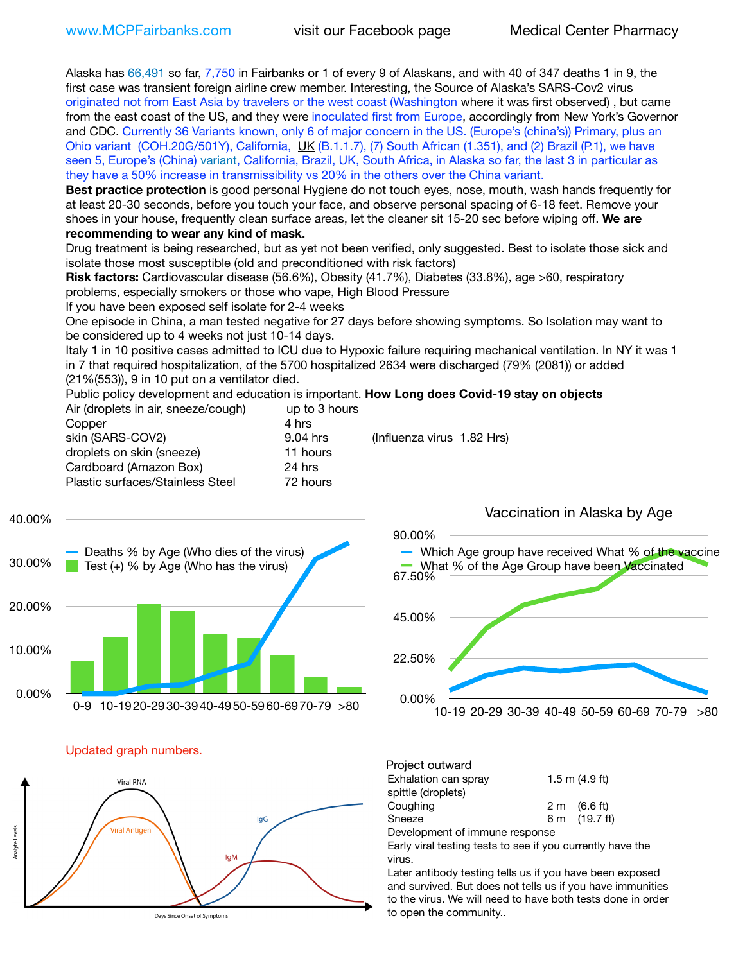Alaska has 66,491 so far, 7,750 in Fairbanks or 1 of every 9 of Alaskans, and with 40 of 347 deaths 1 in 9, the first case was transient foreign airline crew member. Interesting, the Source of Alaska's SARS-Cov2 virus originated not from East Asia by travelers or the west coast (Washington where it was first observed) , but came from the east coast of the US, and they were inoculated first from Europe, accordingly from New York's Governor and CDC. Currently 36 Variants known, only 6 of major concern in the US. (Europe's (china's)) Primary, plus an Ohio variant (COH.20G/501Y), California, [UK](https://www.cdc.gov/coronavirus/2019-ncov/transmission/variant-cases.html) (B.1.1.7), (7) South African (1.351), and (2) Brazil (P.1), we have seen 5, Europe's (China) [variant,](https://www.webmd.com/lung/news/20210318/cdc-who-create-threat-levels-for-covid-variants?ecd=wnl_cvd_031921&ctr=wnl-cvd-031921&mb=kYbf7DsHb7YGjh/1RUkcAW0T6iorImAU1TDZh18RYs0=_Support_titleLink_2) California, Brazil, UK, South Africa, in Alaska so far, the last 3 in particular as they have a 50% increase in transmissibility vs 20% in the others over the China variant.

**Best practice protection** is good personal Hygiene do not touch eyes, nose, mouth, wash hands frequently for at least 20-30 seconds, before you touch your face, and observe personal spacing of 6-18 feet. Remove your shoes in your house, frequently clean surface areas, let the cleaner sit 15-20 sec before wiping off. **We are recommending to wear any kind of mask.**

Drug treatment is being researched, but as yet not been verified, only suggested. Best to isolate those sick and isolate those most susceptible (old and preconditioned with risk factors)

**Risk factors:** Cardiovascular disease (56.6%), Obesity (41.7%), Diabetes (33.8%), age >60, respiratory problems, especially smokers or those who vape, High Blood Pressure

If you have been exposed self isolate for 2-4 weeks

One episode in China, a man tested negative for 27 days before showing symptoms. So Isolation may want to be considered up to 4 weeks not just 10-14 days.

Italy 1 in 10 positive cases admitted to ICU due to Hypoxic failure requiring mechanical ventilation. In NY it was 1 in 7 that required hospitalization, of the 5700 hospitalized 2634 were discharged (79% (2081)) or added (21%(553)), 9 in 10 put on a ventilator died.

Public policy development and education is important. **How Long does Covid-19 stay on objects**

| up to 3 hours |                            |
|---------------|----------------------------|
| 4 hrs         |                            |
| 9.04 hrs      | (Influenza virus 1.82 Hrs) |
| 11 hours      |                            |
| 24 hrs        |                            |
| 72 hours      |                            |
|               |                            |

0.00% 10.00% 20.00% 30.00% 40.00% 0-9 10-1920-2930-3940-4950-5960-6970-79 >80 Deaths % by Age (Who dies of the virus) Test (+) % by Age (Who has the virus)



Updated graph numbers.



Project outward Exhalation can spray  $1.5 \text{ m}$  (4.9 ft) spittle (droplets) Coughing 2 m (6.6 ft) Sneeze 6 m (19.7 ft) Development of immune response

Early viral testing tests to see if you currently have the virus.

Later antibody testing tells us if you have been exposed and survived. But does not tells us if you have immunities to the virus. We will need to have both tests done in order to open the community..

### Vaccination in Alaska by Age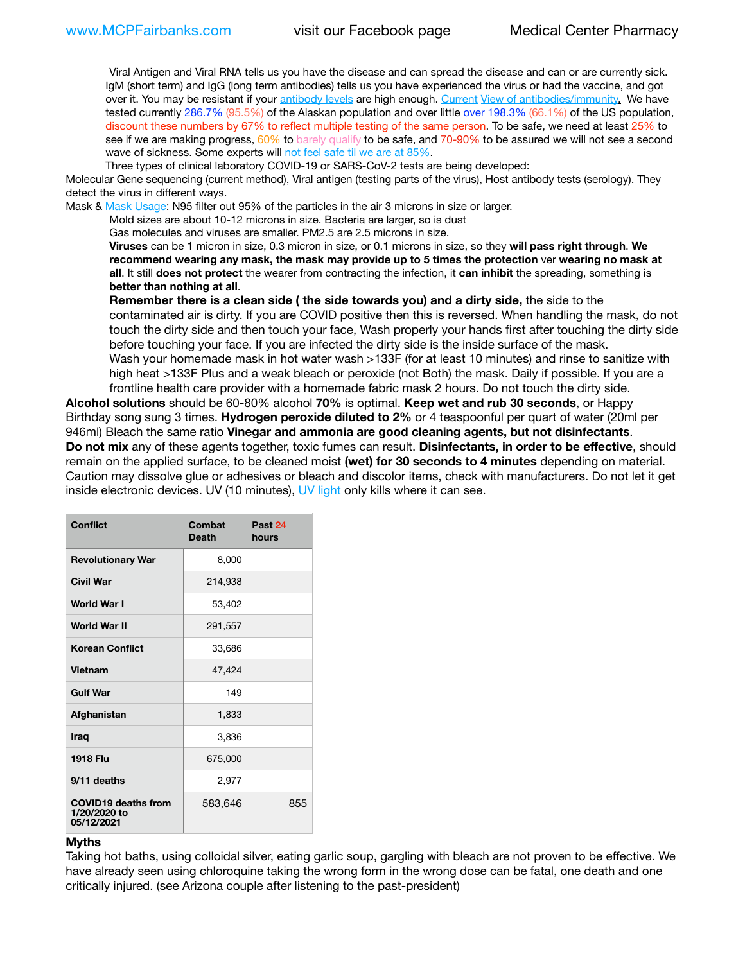Viral Antigen and Viral RNA tells us you have the disease and can spread the disease and can or are currently sick. IgM (short term) and IgG (long term antibodies) tells us you have experienced the virus or had the vaccine, and got over it. You may be resistant if your [antibody levels](https://www.cdc.gov/coronavirus/2019-ncov/lab/resources/antibody-tests.html) are high enough. [Current](https://l.facebook.com/l.php?u=https://www.itv.com/news/2020-10-26/covid-19-antibody-levels-reduce-over-time-study-finds?fbclid=IwAR3Dapzh1qIH1EIOdUQI2y8THf7jfA4KBCaJz8Qg-8xe1YsrR4nsAHDIXSY&h=AT30nut8pkqp0heVuz5W2rT2WFFm-2Ab52BsJxZZCNlGsX58IpPkuVEPULbIUV_M16MAukx1Kwb657DPXxsgDN1rpOQ4gqBtQsmVYiWpnHPJo2RQsU6CPMd14lgLnQnFWxfVi6zvmw&__tn__=-UK-R&c%5B0%5D=AT1GaRAfR_nGAyqcn7TI1-PpvqOqEKXHnz6TDWvRStMnOSH7boQDvTiwTOc6VId9UES6LKiOmm2m88wKCoolkJyOFvakt2Z1Mw8toYWGGoWW23r0MNVBl7cYJXB_UOvGklNHaNnaNr1_S7NhT3BSykNOBg) [View of antibodies/immunity](https://www.livescience.com/antibodies.html)[.](https://www.itv.com/news/2020-10-26/covid-19-antibody-levels-reduce-over-time-study-finds) We have tested currently 286.7% (95.5%) of the Alaskan population and over little over 198.3% (66.1%) of the US population, discount these numbers by 67% to reflect multiple testing of the same person. To be safe, we need at least 25% to see if we are making progress, [60%](https://www.jhsph.edu/covid-19/articles/achieving-herd-immunity-with-covid19.html) to [barely qualify](https://www.nature.com/articles/d41586-020-02948-4) to be safe, and [70-90%](https://www.mayoclinic.org/herd-immunity-and-coronavirus/art-20486808) to be assured we will not see a second wave of sickness. Some experts will [not feel safe til we are at 85%.](https://www.bannerhealth.com/healthcareblog/teach-me/what-is-herd-immunity)

Three types of clinical laboratory COVID-19 or SARS-CoV-2 tests are being developed:

Molecular Gene sequencing (current method), Viral antigen (testing parts of the virus), Host antibody tests (serology). They detect the virus in different ways.

Mask & [Mask Usage:](https://www.nationalgeographic.com/history/2020/03/how-cities-flattened-curve-1918-spanish-flu-pandemic-coronavirus/) N95 filter out 95% of the particles in the air 3 microns in size or larger.

Mold sizes are about 10-12 microns in size. Bacteria are larger, so is dust

Gas molecules and viruses are smaller. PM2.5 are 2.5 microns in size.

**Viruses** can be 1 micron in size, 0.3 micron in size, or 0.1 microns in size, so they **will pass right through**. **We recommend wearing any mask, the mask may provide up to 5 times the protection** ver **wearing no mask at all**. It still **does not protect** the wearer from contracting the infection, it **can inhibit** the spreading, something is **better than nothing at all**.

**Remember there is a clean side ( the side towards you) and a dirty side,** the side to the contaminated air is dirty. If you are COVID positive then this is reversed. When handling the mask, do not touch the dirty side and then touch your face, Wash properly your hands first after touching the dirty side before touching your face. If you are infected the dirty side is the inside surface of the mask. Wash your homemade mask in hot water wash >133F (for at least 10 minutes) and rinse to sanitize with high heat >133F Plus and a weak bleach or peroxide (not Both) the mask. Daily if possible. If you are a frontline health care provider with a homemade fabric mask 2 hours. Do not touch the dirty side.

**Alcohol solutions** should be 60-80% alcohol **70%** is optimal. **Keep wet and rub 30 seconds**, or Happy Birthday song sung 3 times. **Hydrogen peroxide diluted to 2%** or 4 teaspoonful per quart of water (20ml per 946ml) Bleach the same ratio **Vinegar and ammonia are good cleaning agents, but not disinfectants**. **Do not mix** any of these agents together, toxic fumes can result. **Disinfectants, in order to be effective**, should remain on the applied surface, to be cleaned moist **(wet) for 30 seconds to 4 minutes** depending on material. Caution may dissolve glue or adhesives or bleach and discolor items, check with manufacturers. Do not let it get inside electronic devices. UV (10 minutes), [UV light](http://www.docreviews.me/best-uv-boxes-2020/?fbclid=IwAR3bvFtXB48OoBBSvYvTEnKuHNPbipxM6jUo82QUSw9wckxjC7wwRZWabGw) only kills where it can see.

| Conflict                                                 | Combat<br><b>Death</b> | Past 24<br>hours |
|----------------------------------------------------------|------------------------|------------------|
| <b>Revolutionary War</b>                                 | 8,000                  |                  |
| Civil War                                                | 214,938                |                  |
| <b>World War I</b>                                       | 53,402                 |                  |
| <b>World War II</b>                                      | 291,557                |                  |
| <b>Korean Conflict</b>                                   | 33,686                 |                  |
| Vietnam                                                  | 47,424                 |                  |
| <b>Gulf War</b>                                          | 149                    |                  |
| Afghanistan                                              | 1,833                  |                  |
| <b>Iraq</b>                                              | 3,836                  |                  |
| <b>1918 Flu</b>                                          | 675,000                |                  |
| 9/11 deaths                                              | 2,977                  |                  |
| <b>COVID19 deaths from</b><br>1/20/2020 to<br>05/12/2021 | 583,646                | 855              |

#### **Myths**

Taking hot baths, using colloidal silver, eating garlic soup, gargling with bleach are not proven to be effective. We have already seen using chloroquine taking the wrong form in the wrong dose can be fatal, one death and one critically injured. (see Arizona couple after listening to the past-president)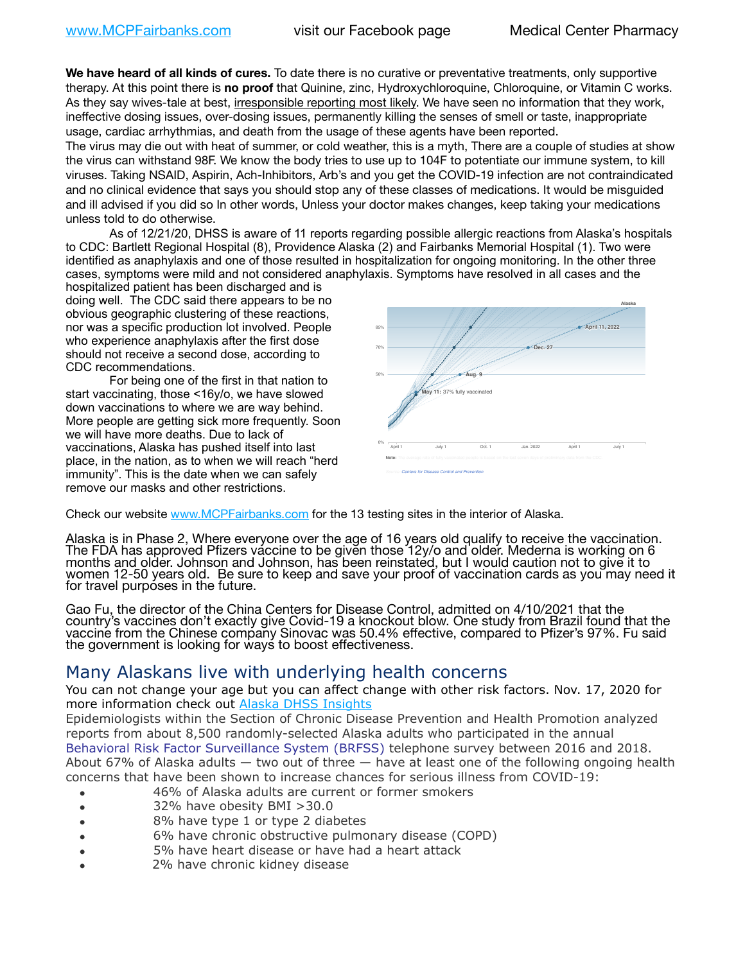**We have heard of all kinds of cures.** To date there is no curative or preventative treatments, only supportive therapy. At this point there is **no proof** that Quinine, zinc, Hydroxychloroquine, Chloroquine, or Vitamin C works. As they say wives-tale at best, irresponsible reporting most likely. We have seen no information that they work, ineffective dosing issues, over-dosing issues, permanently killing the senses of smell or taste, inappropriate usage, cardiac arrhythmias, and death from the usage of these agents have been reported.

The virus may die out with heat of summer, or cold weather, this is a myth, There are a couple of studies at show the virus can withstand 98F. We know the body tries to use up to 104F to potentiate our immune system, to kill viruses. Taking NSAID, Aspirin, Ach-Inhibitors, Arb's and you get the COVID-19 infection are not contraindicated and no clinical evidence that says you should stop any of these classes of medications. It would be misguided and ill advised if you did so In other words, Unless your doctor makes changes, keep taking your medications unless told to do otherwise.

As of 12/21/20, DHSS is aware of 11 reports regarding possible allergic reactions from Alaska's hospitals to CDC: Bartlett Regional Hospital (8), Providence Alaska (2) and Fairbanks Memorial Hospital (1). Two were identified as anaphylaxis and one of those resulted in hospitalization for ongoing monitoring. In the other three cases, symptoms were mild and not considered anaphylaxis. Symptoms have resolved in all cases and the

hospitalized patient has been discharged and is doing well. The CDC said there appears to be no obvious geographic clustering of these reactions, nor was a specific production lot involved. People who experience anaphylaxis after the first dose should not receive a second dose, according to CDC recommendations.

For being one of the first in that nation to start vaccinating, those <16y/o, we have slowed down vaccinations to where we are way behind. More people are getting sick more frequently. Soon we will have more deaths. Due to lack of vaccinations, Alaska has pushed itself into last place, in the nation, as to when we will reach "herd immunity". This is the date when we can safely remove our masks and other restrictions.



Check our website [www.MCPFairbanks.com](http://www.MCPFairbanks.com) for the 13 testing sites in the interior of Alaska.

Alaska is in Phase 2, Where everyone over the age of 16 years old qualify to receive the vaccination. The FDA has approved Pfizers vaccine to be given those 12y/o and older. Mederna is working on 6<br>months and older. Johnson and Johnson, has been reinstated, but I would caution not to give it to women 12-50 years old. Be sure to keep and save your proof of vaccination cards as you may need it for travel purposes in the future.

Gao Fu, the director of the China Centers for Disease Control, admitted on 4/10/2021 that the country's vaccines don't exactly give Covid-19 a knockout blow. One study from Brazil found that the vaccine from the Chinese company Sinovac was 50.4% effective, compared to Pfizer's 97%. Fu said the government is looking for ways to boost effectiveness.

# Many Alaskans live with underlying health concerns

You can not change your age but you can affect change with other risk factors. Nov. 17, 2020 for more information check out **[Alaska DHSS Insights](http://dhss.alaska.gov/dph/Epi/id/Pages/COVID-19/blog/20201117.aspx)** 

Epidemiologists within the Section of Chronic Disease Prevention and Health Promotion analyzed reports from about 8,500 randomly-selected Alaska adults who participated in the annual [Behavioral Risk Factor Surveillance System \(BRFSS\)](http://dhss.alaska.gov/dph/Chronic/Pages/brfss/default.aspx) telephone survey between 2016 and 2018. About 67% of Alaska adults — two out of three — have at least one of the following ongoing health concerns that have been shown to increase chances for serious illness from COVID-19:

- 46% of Alaska adults are current or former smokers
- 32% have obesity BMI >30.0
- 8% have type 1 or type 2 diabetes
- 6% have chronic obstructive pulmonary disease (COPD)
- 5% have heart disease or have had a heart attack
- 2% have chronic kidney disease